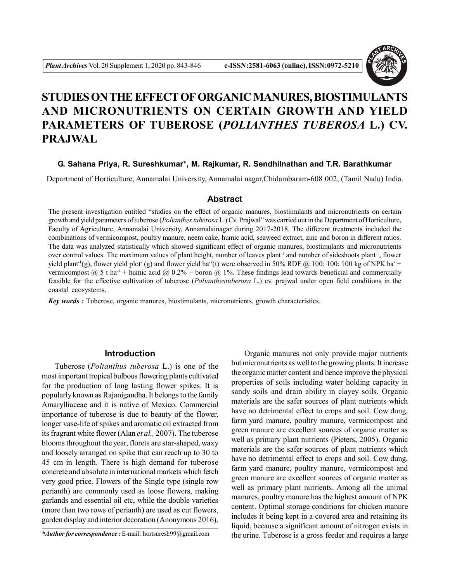

# **STUDIES ON THE EFFECT OF ORGANIC MANURES, BIOSTIMULANTS AND MICRONUTRIENTS ON CERTAIN GROWTH AND YIELD PARAMETERS OF TUBEROSE (***POLIANTHES TUBEROSA* **L.) CV. PRAJWAL**

### **G. Sahana Priya, R. Sureshkumar\*, M. Rajkumar, R. Sendhilnathan and T.R. Barathkumar**

Department of Horticulture, Annamalai University, Annamalai nagar,Chidambaram-608 002, (Tamil Nadu) India.

#### **Abstract**

The present investigation entitled "studies on the effect of organic manures, biostimulants and micronutrients on certain growth and yield parameters of tuberose (*Polianthes tuberosa* L.) Cv. Prajwal" was carried out in the Department of Horticulture, Faculty of Agriculture, Annamalai University, Annamalainagar during 2017-2018. The different treatments included the combinations of vermicompost, poultry manure, neem cake, humic acid, seaweed extract, zinc and boron in different ratios. The data was analyzed statistically which showed significant effect of organic manures, biostimulants and micronutrients over control values. The maximum values of plant height, number of leaves plant<sup>-1</sup> and number of sideshoots plant<sup>-1</sup>, flower yield plant<sup>-1</sup>(g), flower yield plot<sup>-1</sup>(g) and flower yield ha<sup>-1</sup>(t) were observed in 50% RDF @ 100: 100: 100 kg of NPK ha<sup>-1+</sup> vermicompost  $\omega$  5 t ha<sup>-1</sup> + humic acid  $\omega$  0.2% + boron  $\omega$  1%. These findings lead towards beneficial and commercially feasible for the effective cultivation of tuberose (*Polianthestuberosa* L.) cv. prajwal under open field conditions in the coastal ecosystems.

*Key words :* Tuberose, organic manures, biostimulants, micronutrients, growth characteristics.

## **Introduction**

Tuberose (*Polianthus tuberosa* L.) is one of the most important tropical bulbous flowering plants cultivated for the production of long lasting flower spikes. It is popularly known as Rajanigandha. It belongs to the family Amarylliaceae and it is native of Mexico. Commercial importance of tuberose is due to beauty of the flower, longer vase-life of spikes and aromatic oil extracted from its fragrant white flower (Alan *et al.,* 2007). The tuberose blooms throughout the year, florets are star-shaped, waxy and loosely arranged on spike that can reach up to 30 to 45 cm in length. There is high demand for tuberose concrete and absolute in international markets which fetch very good price. Flowers of the Single type (single row perianth) are commonly used as loose flowers, making garlands and essential oil etc, while the double varieties (more than two rows of perianth) are used as cut flowers, garden display and interior decoration (Anonymous 2016).

Organic manures not only provide major nutrients but micronutrients as well to the growing plants. It increase the organic matter content and hence improve the physical properties of soils including water holding capacity in sandy soils and drain ability in clayey soils. Organic materials are the safer sources of plant nutrients which have no detrimental effect to crops and soil. Cow dung, farm yard manure, poultry manure, vermicompost and green manure are excellent sources of organic matter as well as primary plant nutrients (Pieters, 2005). Organic materials are the safer sources of plant nutrients which have no detrimental effect to crops and soil. Cow dung, farm yard manure, poultry manure, vermicompost and green manure are excellent sources of organic matter as well as primary plant nutrients. Among all the animal manures, poultry manure has the highest amount of NPK content. Optimal storage conditions for chicken manure includes it being kept in a covered area and retaining its liquid, because a significant amount of nitrogen exists in the urine. Tuberose is a gross feeder and requires a large

*<sup>\*</sup>Author for correspondence :* E-mail : hortsuresh99@gmail.com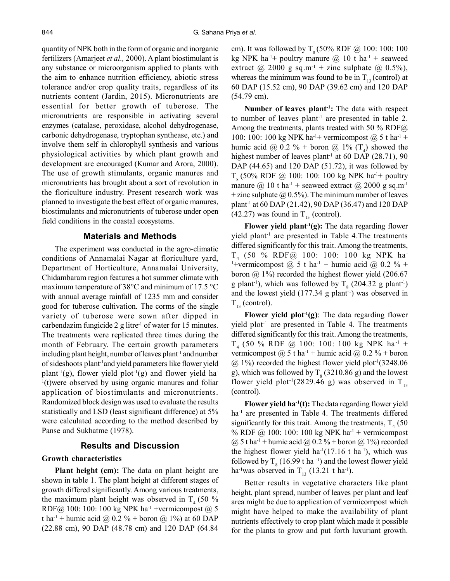quantity of NPK both in the form of organic and inorganic fertilizers (Amarjeet *et al.,* 2000). A plant biostimulant is any substance or microorganism applied to plants with the aim to enhance nutrition efficiency, abiotic stress tolerance and/or crop quality traits, regardless of its nutrients content (Jardin, 2015). Micronutrients are essential for better growth of tuberose. The micronutrients are responsible in activating several enzymes (catalase, peroxidase, alcohol dehydrogenase, carbonic dehydrogenase, tryptophan synthease, etc.) and involve them self in chlorophyll synthesis and various physiological activities by which plant growth and development are encouraged (Kumar and Arora, 2000). The use of growth stimulants, organic manures and micronutrients has brought about a sort of revolution in the floriculture industry. Present research work was planned to investigate the best effect of organic manures, biostimulants and micronutrients of tuberose under open field conditions in the coastal ecosystems.

#### **Materials and Methods**

The experiment was conducted in the agro-climatic conditions of Annamalai Nagar at floriculture yard, Department of Horticulture, Annamalai University, Chidambaram region features a hot summer climate with maximum temperature of 38°C and minimum of 17.5 °C with annual average rainfall of 1235 mm and consider good for tuberose cultivation. The corms of the single variety of tuberose were sown after dipped in carbendazim fungicide  $2 \text{ g litre}^{-1}$  of water for 15 minutes. The treatments were replicated three times during the month of February. The certain growth parameters including plant height, number of leaves plant<sup>-1</sup> and number of sideshoots plant-1and yield parameters like flower yield plant<sup>-1</sup>(g), flower yield plot<sup>-1</sup>(g) and flower yield ha-<sup>1</sup>(t)were observed by using organic manures and foliar application of biostimulants and micronutrients. Randomized block design was used to evaluate the results statistically and LSD (least significant difference) at 5% were calculated according to the method described by Panse and Sukhatme (1978).

## **Results and Discussion**

#### **Growth characteristics**

**Plant height (cm):** The data on plant height are shown in table 1. The plant height at different stages of growth differed significantly. Among various treatments, the maximum plant height was observed in  $T<sub>4</sub>$  (50 % RDF@ 100: 100: 100 kg NPK ha<sup>-1</sup> +vermicompost @ 5 t ha<sup>-1</sup> + humic acid @ 0.2 % + boron @ 1%) at 60 DAP (22.88 cm), 90 DAP (48.78 cm) and 120 DAP (64.84

cm). It was followed by  $T_s (50\% \text{ RDF} \text{ @ } 100: 100: 100$ kg NPK ha<sup>-1+</sup> poultry manure  $@ 10$  t ha<sup>-1</sup> + seaweed extract @ 2000 g sq.m<sup>-1</sup> + zinc sulphate @ 0.5%), whereas the minimum was found to be in  $T_{13}$  (control) at 60 DAP (15.52 cm), 90 DAP (39.62 cm) and 120 DAP (54.79 cm).

**Number of leaves plant-1:** The data with respect to number of leaves plant<sup>-1</sup> are presented in table 2. Among the treatments, plants treated with 50 % RDF $@$ 100: 100: 100 kg NPK ha<sup>-1+</sup> vermicompost  $(a)$  5 t ha<sup>-1</sup> + humic acid @  $0.2 \%$  + boron @ 1% (T<sub>4</sub>) showed the highest number of leaves plant<sup>-1</sup> at 60 DAP (28.71), 90 DAP (44.65) and 120 DAP (51.72), it was followed by  $T_{s}$  (50% RDF @ 100: 100: 100 kg NPK ha<sup>-1+</sup> poultry manure @ 10 t ha<sup>-1</sup> + seaweed extract @ 2000 g sq.m<sup>-1</sup> + zinc sulphate  $\omega(0.5\%)$ . The minimum number of leaves plant-1 at 60 DAP (21.42), 90 DAP (36.47) and 120 DAP (42.27) was found in  $T_{13}$  (control).

**Flower yield plant-1(g):** The data regarding flower yield plant<sup>-1</sup> are presented in Table 4. The treatments differed significantly for this trait. Among the treatments, T4 (50 % RDF@ 100: 100: 100 kg NPK ha-<sup>1</sup>+vermicompost @ 5 t ha<sup>-1</sup> + humic acid @ 0.2 % + boron @ 1%) recorded the highest flower yield (206.67 g plant<sup>-1</sup>), which was followed by  $T_8$  (204.32 g plant<sup>-1</sup>) and the lowest yield  $(177.34 \text{ g plant}^{-1})$  was observed in  $T_{13}$  (control).

**Flower yield plot-1(g)**: The data regarding flower  $yield plot<sup>-1</sup>$  are presented in Table 4. The treatments differed significantly for this trait. Among the treatments,  $T_4$  (50 % RDF @ 100: 100: 100 kg NPK ha<sup>-1</sup> + vermicompost  $\omega$  5 t ha<sup>-1</sup> + humic acid  $\omega$  0.2 % + boron  $\omega$  1%) recorded the highest flower yield plot<sup>-1</sup>(3248.06) g), which was followed by  $T_g$  (3210.86 g) and the lowest flower yield plot<sup>-1</sup>(2829.46 g) was observed in  $T_{13}$ (control).

**Flower yield ha-1(t):** The data regarding flower yield ha<sup>-1</sup> are presented in Table 4. The treatments differed significantly for this trait. Among the treatments,  $T_4$  (50 % RDF @ 100: 100: 100 kg NPK ha<sup>-1</sup> + vermicompost  $(a)$  5 t ha<sup>-1</sup> + humic acid  $(a)$  0.2 % + boron  $(a)$  1%) recorded the highest flower yield ha<sup>-1</sup>(17.16 t ha<sup>1</sup>), which was followed by  $T_8$  (16.99 t ha <sup>-1</sup>) and the lowest flower yield ha<sup>-1</sup>was observed in  $T_{13}$  (13.21 t ha<sup>-1</sup>).

Better results in vegetative characters like plant height, plant spread, number of leaves per plant and leaf area might be due to application of vermicompost which might have helped to make the availability of plant nutrients effectively to crop plant which made it possible for the plants to grow and put forth luxuriant growth.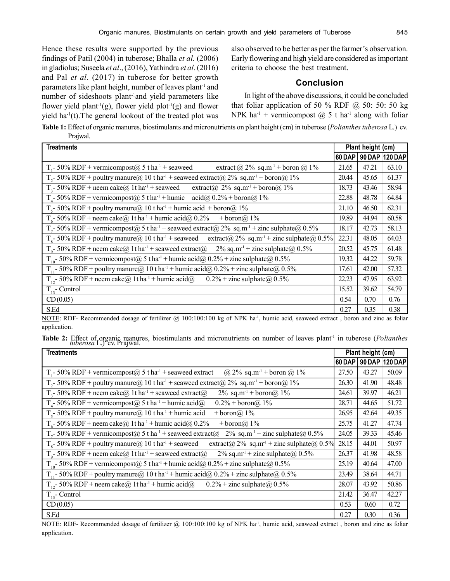Hence these results were supported by the previous findings of Patil (2004) in tuberose; Bhalla *et al.* (2006) in gladiolus; Suseela *et al*., (2016), Yathindra *et al*. (2016) and Pal *et al*. (2017) in tuberose for better growth parameters like plant height, number of leaves plant<sup>-1</sup> and number of sideshoots plant-1and yield parameters like flower yield plant<sup>-1</sup>(g), flower yield plot<sup>-1</sup>(g) and flower yield  $ha^{-1}(t)$ . The general lookout of the treated plot was also observed to be better as per the farmer's observation. Early flowering and high yield are considered as important criteria to choose the best treatment.

## **Conclusion**

In light of the above discussions, it could be concluded that foliar application of 50 % RDF  $\omega$  50: 50: 50 kg NPK ha<sup>-1</sup> + vermicompost  $\omega$  5 t ha<sup>-1</sup> along with foliar

**Table 1:** Effect of organic manures, biostimulants and micronutrients on plant height (cm) in tuberose (*Polianthes tuberosa* L.) cv. Prajwal.

| <b>Treatments</b>                                                                                                                         | Plant height (cm) |       |                |
|-------------------------------------------------------------------------------------------------------------------------------------------|-------------------|-------|----------------|
|                                                                                                                                           | 60 DAP            |       | 90 DAP 120 DAP |
| T <sub>1</sub> -50% RDF + vermicompost $(a)$ 5 t ha <sup>-1</sup> + seaweed<br>extract $\omega$ 2% sq.m <sup>-1</sup> + boron $\omega$ 1% | 21.65             | 47.21 | 63.10          |
| T <sub>2</sub> -50% RDF + poultry manure@ 10 t ha <sup>-1</sup> + seaweed extract@ 2% sq.m <sup>-1</sup> + boron@ 1%                      | 20.44             | 45.65 | 61.37          |
| $T_1$ - 50% RDF + neem cake@ 1t ha <sup>-1</sup> + seaweed extract@ 2% sq.m <sup>-1</sup> + boron@ 1%                                     | 18.73             | 43.46 | 58.94          |
| $Ta$ - 50% RDF + vermicompost@ 5 t ha <sup>-1</sup> + humic acid@ 0.2% + boron@ 1%                                                        | 22.88             | 48.78 | 64.84          |
| T <sub>5</sub> -50% RDF + poultry manure@ 10 t ha <sup>-1</sup> + humic acid + boron@ 1%                                                  | 21.10             | 46.50 | 62.31          |
| $T_c$ - 50% RDF + neem cake $\omega$ 1t ha <sup>-1</sup> + humic acid $\omega$ 0.2%<br>+ boron@ $1\%$                                     | 19.89             | 44.94 | 60.58          |
| T <sub>7</sub> -50% RDF + vermicompost@ 5 t ha <sup>-1</sup> + seaweed extract@ 2% sq.m <sup>-1</sup> + zinc sulphate@ 0.5%               | 18.17             | 42.73 | 58.13          |
| $T_s$ - 50% RDF + poultry manure@ 10 t ha <sup>-1</sup> + seaweed extract@ 2% sq.m <sup>-1</sup> + zinc sulphate@ 0.5%                    | 22.31             | 48.05 | 64.03          |
| $T_0$ - 50% RDF + neem cake@ 1t ha <sup>-1</sup> + seaweed extract@ 2% sq.m <sup>-1</sup> + zinc sulphate@ 0.5%                           | 20.52             | 45.75 | 61.48          |
| T <sub>10</sub> -50% RDF + vermicompost@ 5 t ha <sup>-1</sup> + humic acid@ 0.2% + zinc sulphate@ 0.5%                                    | 19.32             | 44.22 | 59.78          |
| T <sub>11</sub> -50% RDF + poultry manure@ 10 t ha <sup>-1</sup> + humic acid@ 0.2% + zinc sulphate@ 0.5%                                 | 17.61             | 42.00 | 57.32          |
| $T_{12}$ - 50% RDF + neem cake@ 1t ha <sup>-1</sup> + humic acid@ 0.2% + zinc sulphate@ 0.5%                                              | 22.23             | 47.95 | 63.92          |
| $T_{13}$ - Control                                                                                                                        | 15.52             | 39.62 | 54.79          |
| CD(0.05)                                                                                                                                  | 0.54              | 0.70  | 0.76           |
| S.Ed                                                                                                                                      | 0.27              | 0.35  | 0.38           |

NOTE: RDF- Recommended dosage of fertilizer @ 100:100:100 kg of NPK ha<sup>-1</sup>, humic acid, seaweed extract, boron and zinc as foliar application.

Table 2: Effect of organic manures, biostimulants and micronutrients on number of leaves plant<sup>1</sup> in tuberose (*Polianthes tuberosa L.*) cv. Prajwal.

| <b>Treatments</b>                                                                                                                      | Plant height (cm) |       |                |
|----------------------------------------------------------------------------------------------------------------------------------------|-------------------|-------|----------------|
|                                                                                                                                        | <b>60 DAP</b>     |       | 90 DAP 120 DAP |
| T <sub>1</sub> -50% RDF + vermicompost $(a)$ 5 t ha <sup>-1</sup> + seaweed extract<br>@ 2% sq.m <sup>-1</sup> + boron @ 1%            | 27.50             | 43.27 | 50.09          |
| $T_2$ - 50% RDF + poultry manure@ 10 t ha <sup>-1</sup> + seaweed extract@ 2% sq.m <sup>-1</sup> + boron@ 1%                           | 26.30             | 41.90 | 48.48          |
| T <sub>3</sub> -50% RDF + neem cake@ 1t ha <sup>-1</sup> + seaweed extract@<br>$2\%$ sq.m <sup>-1</sup> + boron( <i>a</i> ) $1\%$      | 24.61             | 39.97 | 46.21          |
| $T4$ - 50% RDF + vermicompost@ 5 t ha <sup>-1</sup> + humic acid@<br>$0.2\% + boron(a) 1\%$                                            | 28.71             | 44.65 | 51.72          |
| $T_s$ - 50% RDF + poultry manure@ 10 t ha <sup>-1</sup> + humic acid<br>+ boron $\omega$ 1%                                            | 26.95             | 42.64 | 49.35          |
| $T_6$ - 50% RDF + neem cake@ 1t ha <sup>-1</sup> + humic acid@ 0.2%<br>+ boron $\omega$ 1%                                             | 25.75             | 41.27 | 47.74          |
| T <sub>7</sub> -50% RDF + vermicompost@ 5 t ha <sup>-1</sup> + seaweed extract@<br>2% sq.m <sup>-1</sup> + zinc sulphate $\omega$ 0.5% | 24.05             | 39.33 | 45.46          |
| $T_s$ - 50% RDF + poultry manure@ 10 t ha <sup>-1</sup> + seaweed<br>extract@ 2% sq.m <sup>-1</sup> + zinc sulphate@ 0.5%              | 28.15             | 44.01 | 50.97          |
| T <sub>o</sub> -50% RDF + neem cake@ 1t ha <sup>-1</sup> + seaweed extract@<br>$2\%$ sq.m <sup>-1</sup> + zinc sulphate (a) 0.5%       | 26.37             | 41.98 | 48.58          |
| T <sub>10</sub> -50% RDF + vermicompost@ 5 t ha <sup>-1</sup> + humic acid@ 0.2% + zinc sulphate@ 0.5%                                 | 25.19             | 40.64 | 47.00          |
| $T_{11}$ - 50% RDF + poultry manure@ 10 t ha <sup>-1</sup> + humic acid@ 0.2% + zinc sulphate@ 0.5%                                    | 23.49             | 38.64 | 44.71          |
| $T_{12}$ - 50% RDF + neem cake@ 1t ha <sup>-1</sup> + humic acid@<br>$0.2\%$ + zinc sulphate $\omega$ 0.5%                             | 28.07             | 43.92 | 50.86          |
| $T_{13}$ - Control                                                                                                                     | 21.42             | 36.47 | 42.27          |
| CD(0.05)                                                                                                                               | 0.53              | 0.60  | 0.72           |
| S.Ed                                                                                                                                   | 0.27              | 0.30  | 0.36           |

NOTE: RDF- Recommended dosage of fertilizer @ 100:100:100 kg of NPK ha<sup>-1</sup>, humic acid, seaweed extract, boron and zinc as foliar application.